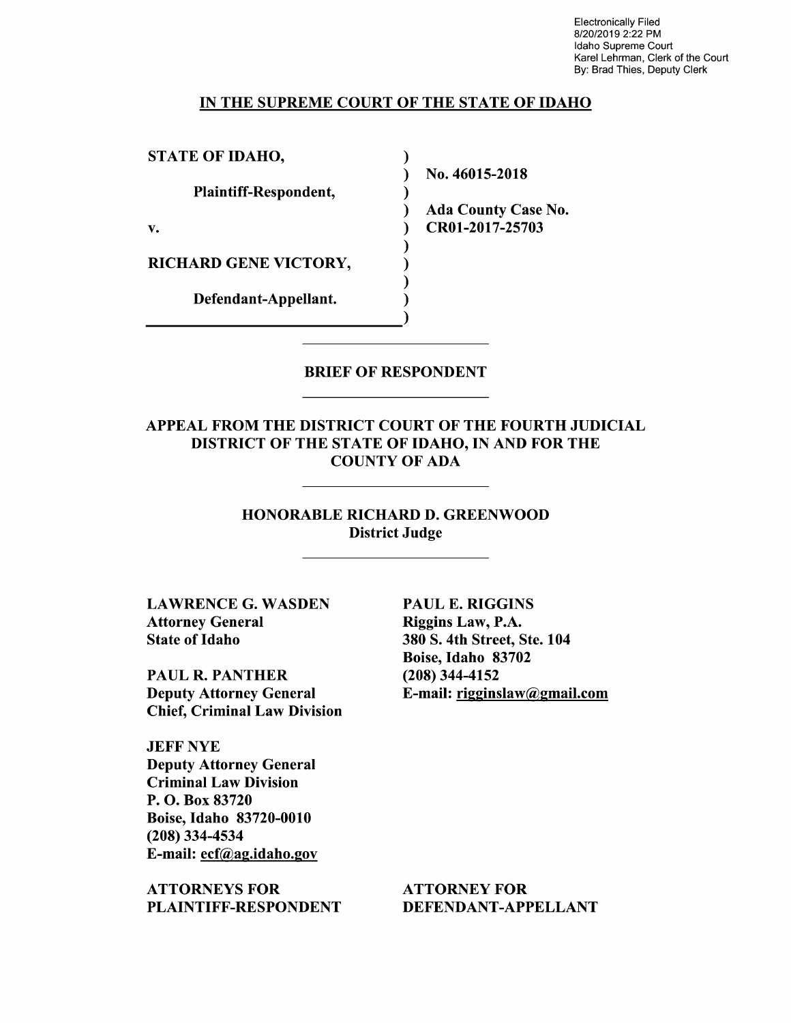Electronically Filed 8/20/2019 2:22 PM Idaho Supreme Court Karel Lehrman, Clerk of the Court By: Brad Thies, Deputy Clerk

### IN THE SUPREME COURT OF THE STATE OF IDAHO

)

STATE OF IDAHO,

Plaintiff—Respondent,

RICHARD GENE VICTORY,

Defendant—Appellant.

N0. 46015-2018

Ada County Case N0. v. (a) CR01-2017-25703

BRIEF OF RESPONDENT

APPEAL FROM THE DISTRICT COURT OF THE FOURTH JUDICIAL DISTRICT OF THE STATE OF IDAHO, IN AND FOR THE COUNTY OF ADA

> HONORABLE RICHARD D. GREENWOOD District Judge

LAWRENCE G. WASDEN Attorney General State 0f Idaho

PAUL R. PANTHER Deputy Attorney General Chief, Criminal Law Division

JEFF NYE Deputy Attorney General Criminal Law Division P. O. Box 83720 Boise, Idaho 83720-0010 (208) 334-4534 E-mail: ecf@ag.idah0.gov

ATTORNEYS FOR PLAINTIFF—RESPONDENT

PAUL E. RIGGINS Riggins Law, P.A. 380 S. 4th Street, Ste. 104 Boise, Idaho 83702 (208) 344-4152 E-mail: rigginslaw@gmail.com

ATTORNEY FOR DEFENDANT-APPELLANT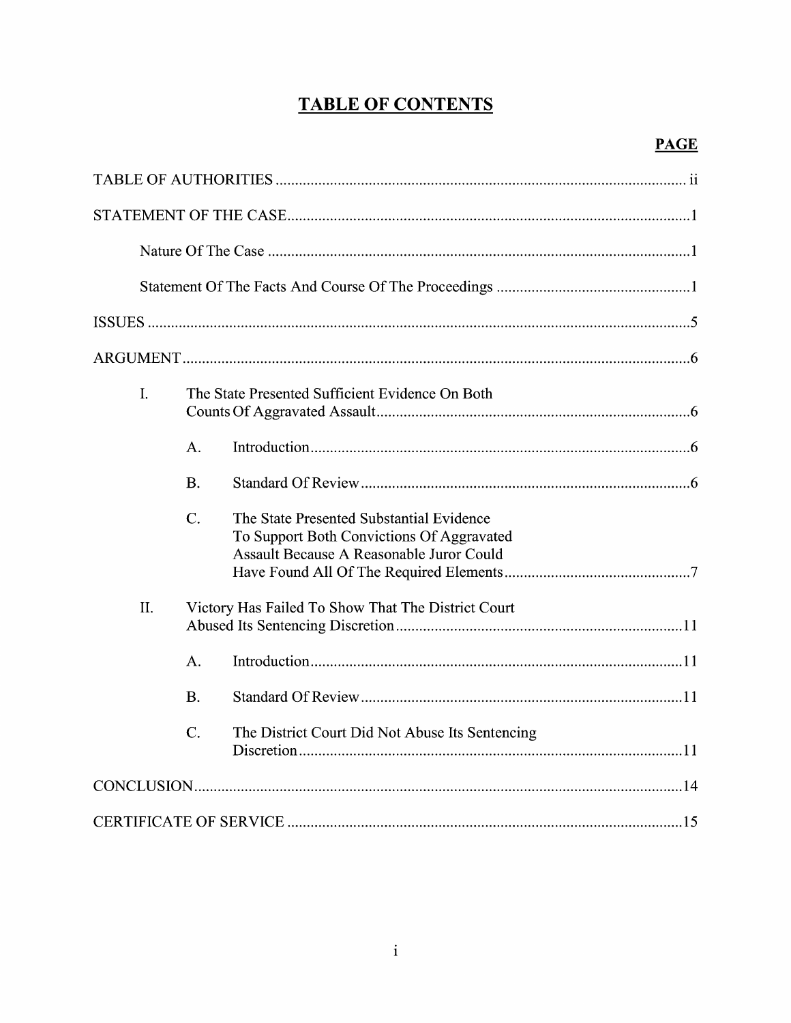# **TABLE OF CONTENTS**

| I.  |                                                    | The State Presented Sufficient Evidence On Both                                                                                   |  |
|-----|----------------------------------------------------|-----------------------------------------------------------------------------------------------------------------------------------|--|
|     | A.                                                 |                                                                                                                                   |  |
|     | <b>B.</b>                                          |                                                                                                                                   |  |
|     | $C$ .                                              | The State Presented Substantial Evidence<br>To Support Both Convictions Of Aggravated<br>Assault Because A Reasonable Juror Could |  |
| II. | Victory Has Failed To Show That The District Court |                                                                                                                                   |  |
|     | A.                                                 |                                                                                                                                   |  |
|     | <b>B.</b>                                          |                                                                                                                                   |  |
|     | $\overline{C}$ .                                   | The District Court Did Not Abuse Its Sentencing                                                                                   |  |
|     |                                                    |                                                                                                                                   |  |
|     |                                                    |                                                                                                                                   |  |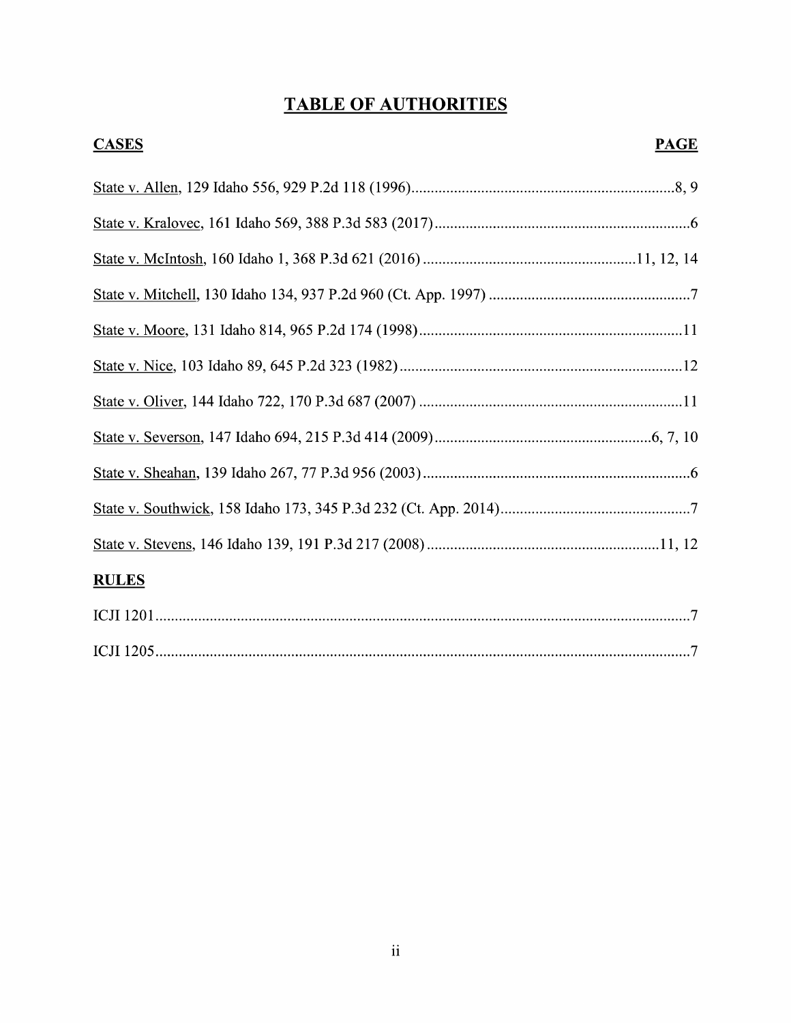# TABLE OF AUTHORITIES

| <b>CASES</b><br><b>PAGE</b> |  |
|-----------------------------|--|
|                             |  |
|                             |  |
|                             |  |
|                             |  |
|                             |  |
|                             |  |
|                             |  |
|                             |  |
|                             |  |
|                             |  |
|                             |  |
| <b>RULES</b>                |  |
|                             |  |
|                             |  |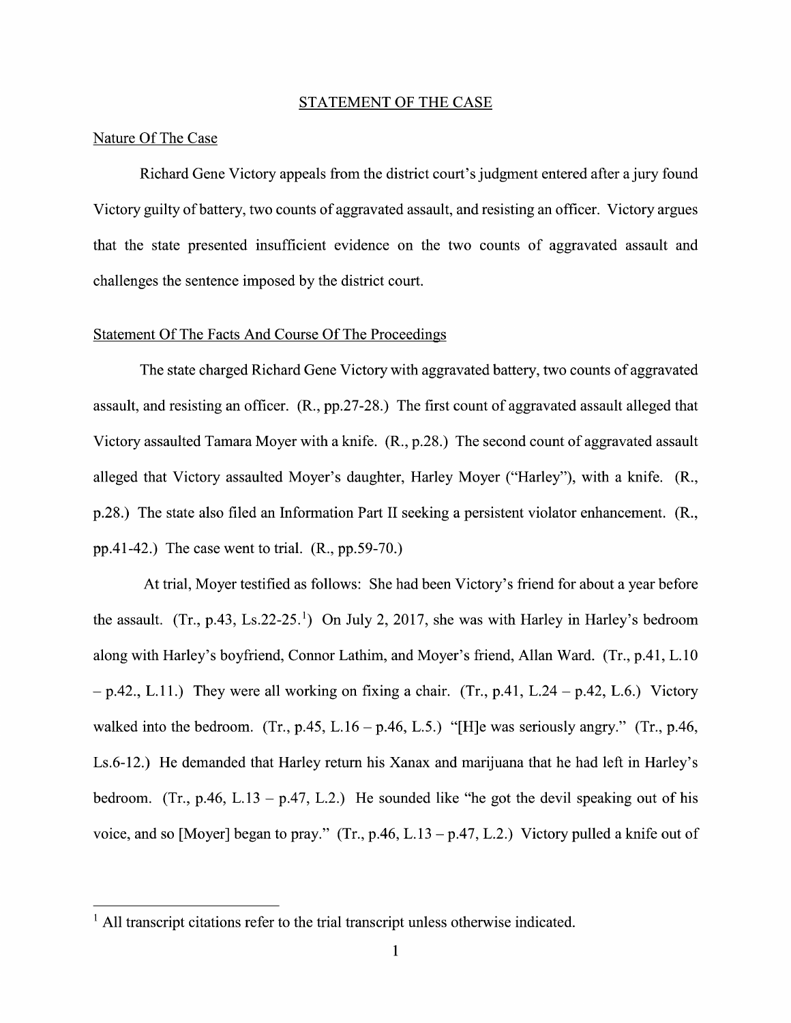#### STATEMENT OF THE CASE

## Nature Of The Case

Richard Gene Victory appeals from the district court's judgment entered after a jury found Victory guilty ofbattery, two counts of aggravated assault, and resisting an officer. Victory argues that the state presented insufficient evidence 0n the two counts of aggravated assault and challenges the sentence imposed by the district court.

# Statement Of The Facts And Course Of The Proceedings

The state charged Richard Gene Victory with aggravated battery, two counts of aggravated assault, and resisting an officer. (R., pp.27-28.) The first count of aggravated assault alleged that Victory assaulted Tamara Moyer with a knife.  $(R., p.28.)$  The second count of aggravated assault alleged that Victory assaulted Moyer's daughter, Harley Moyer ("Harley"), with a knife. (R., p.28.) The state also filed an Information Part II seeking a persistent violator enhancement. (R., pp.41-42.) The case went to trial. (R., pp.59-70.)

At trial, Moyer testified as follows: She had been Victory's friend for about a year before the assault.  $(Tr, p.43, Ls.22-25<sup>1</sup>)$  On July 2, 2017, she was with Harley in Harley's bedroom along with Harley's boyfriend, Connor Lathim, and Moyer's friend, Allan Ward. (Tr., p.41, L.10)  $-p.42$ ., L.11.) They were all working on fixing a chair. (Tr., p.41, L.24 – p.42, L.6.) Victory walked into the bedroom. (Tr., p.45, L.16 – p.46, L.5.) "[H]e was seriously angry." (Tr., p.46, Ls.6-12.) He demanded that Harley return his Xanax and marijuana that he had left in Harley's bedroom. (Tr., p.46, L.13 – p.47, L.2.) He sounded like "he got the devil speaking out of his voice, and so [Moyer] began to pray." (Tr., p.46, L.13 – p.47, L.2.) Victory pulled a knife out of

 $<sup>1</sup>$  All transcript citations refer to the trial transcript unless otherwise indicated.</sup>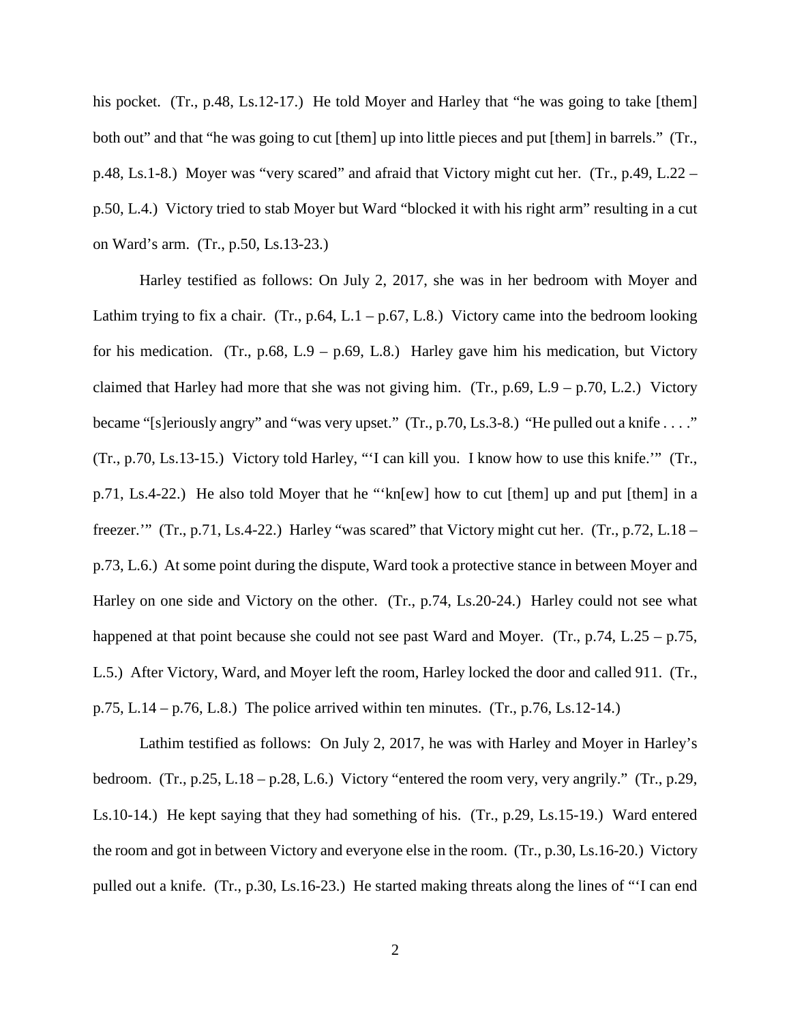his pocket. (Tr., p.48, Ls.12-17.) He told Moyer and Harley that "he was going to take [them] both out" and that "he was going to cut [them] up into little pieces and put [them] in barrels." (Tr., p.48, Ls.1-8.) Moyer was "very scared" and afraid that Victory might cut her. (Tr., p.49, L.22 – p.50, L.4.) Victory tried to stab Moyer but Ward "blocked it with his right arm" resulting in a cut on Ward's arm. (Tr., p.50, Ls.13-23.)

Harley testified as follows: On July 2, 2017, she was in her bedroom with Moyer and Lathim trying to fix a chair. (Tr., p.64, L.1 – p.67, L.8.) Victory came into the bedroom looking for his medication. (Tr., p.68, L.9 – p.69, L.8.) Harley gave him his medication, but Victory claimed that Harley had more that she was not giving him. (Tr.,  $p.69$ , L.9 –  $p.70$ , L.2.) Victory became "[s]eriously angry" and "was very upset." (Tr., p.70, Ls.3-8.) "He pulled out a knife . . . ." (Tr., p.70, Ls.13-15.) Victory told Harley, "'I can kill you. I know how to use this knife.'" (Tr., p.71, Ls.4-22.) He also told Moyer that he "'kn[ew] how to cut [them] up and put [them] in a freezer.'" (Tr., p.71, Ls.4-22.) Harley "was scared" that Victory might cut her. (Tr., p.72, L.18 – p.73, L.6.) At some point during the dispute, Ward took a protective stance in between Moyer and Harley on one side and Victory on the other. (Tr., p.74, Ls.20-24.) Harley could not see what happened at that point because she could not see past Ward and Moyer. (Tr., p.74, L.25 – p.75, L.5.) After Victory, Ward, and Moyer left the room, Harley locked the door and called 911. (Tr., p.75, L.14 – p.76, L.8.) The police arrived within ten minutes.  $(Tr, p.76, Ls.12-14.)$ 

Lathim testified as follows: On July 2, 2017, he was with Harley and Moyer in Harley's bedroom. (Tr., p.25, L.18 – p.28, L.6.) Victory "entered the room very, very angrily." (Tr., p.29, Ls.10-14.) He kept saying that they had something of his. (Tr., p.29, Ls.15-19.) Ward entered the room and got in between Victory and everyone else in the room. (Tr., p.30, Ls.16-20.) Victory pulled out a knife. (Tr., p.30, Ls.16-23.) He started making threats along the lines of "'I can end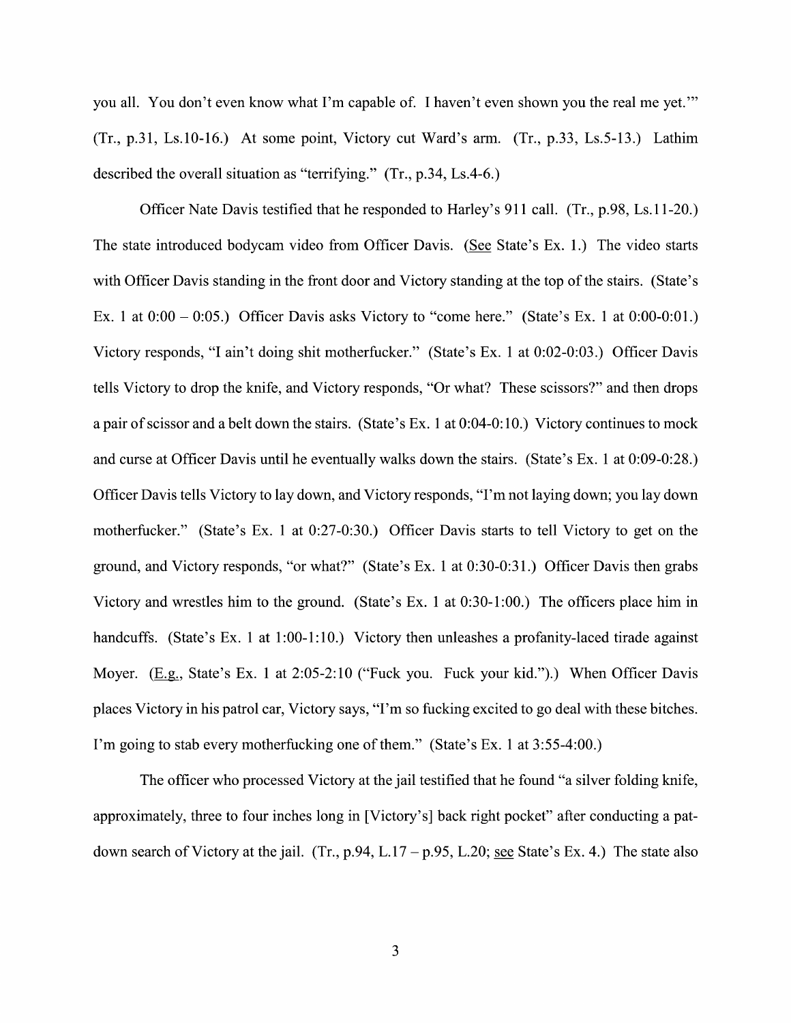you all. You don't even know what I'm capable of. I haven't even shown you the real me yet."  $(Tr, p.31, Ls.10-16.)$  At some point, Victory cut Ward's arm.  $(Tr, p.33, Ls.5-13.)$  Lathim described the overall situation as "terrifying."  $(Tr, p.34, Ls.4-6.)$ 

Officer Nate Davis testified that he responded to Harley's  $911$  call. (Tr., p.98, Ls.11-20.) The state introduced bodycam video from Officer Davis. (See State's Ex. 1.) The video starts with Officer Davis standing in the front door and Victory standing at the top of the stairs. (State's Ex. 1 at  $0:00 - 0:05$ .) Officer Davis asks Victory to "come here." (State's Ex. 1 at  $0:00-0:01$ .) Victory responds, "I ain't doing shit motherfucker." (State's Ex. 1 at 0:02-0:03.) Officer Davis tells Victory to drop the knife, and Victory responds, "Or What? These scissors?" and then drops a pair of scissor and a belt down the stairs. (State's Ex. 1 at  $0:04-0:10$ .) Victory continues to mock and curse at Officer Davis until he eventually walks down the stairs. (State's Ex. 1 at 0:09-0:28.) Officer Davis tells Victory to lay down, and Victory responds, "I'm not laying down; you lay down motherfucker." (State's Ex. 1 at 0:27-0:30.) Officer Davis starts to tell Victory to get on the ground, and Victory responds, "or what?" (State's Ex. 1 at 0:30-0:31.) Officer Davis then grabs Victory and wrestles him to the ground. (State's Ex. 1 at  $0.30-1:00$ .) The officers place him in handcuffs. (State's Ex. 1 at 1:00-1:10.) Victory then unleashes a profanity-laced tirade against Moyer. (E.g., State's Ex. 1 at 2:05-2:10 ("Fuck you. Fuck your kid.").) When Officer Davis places Victory in his patrol car, Victory says, "I'm so fucking excited t0 go deal With these bitches. I'm going to stab every motherfucking one of them." (State's Ex. 1 at 3:55-4:00.)

The officer Who processed Victory at the jail testified that he found "a silver folding knife, approximately, three to four inches long in [Victory's] back right pocket" after conducting a patdown search of Victory at the jail. (Tr., p.94, L.17 – p.95, L.20; see State's Ex. 4.) The state also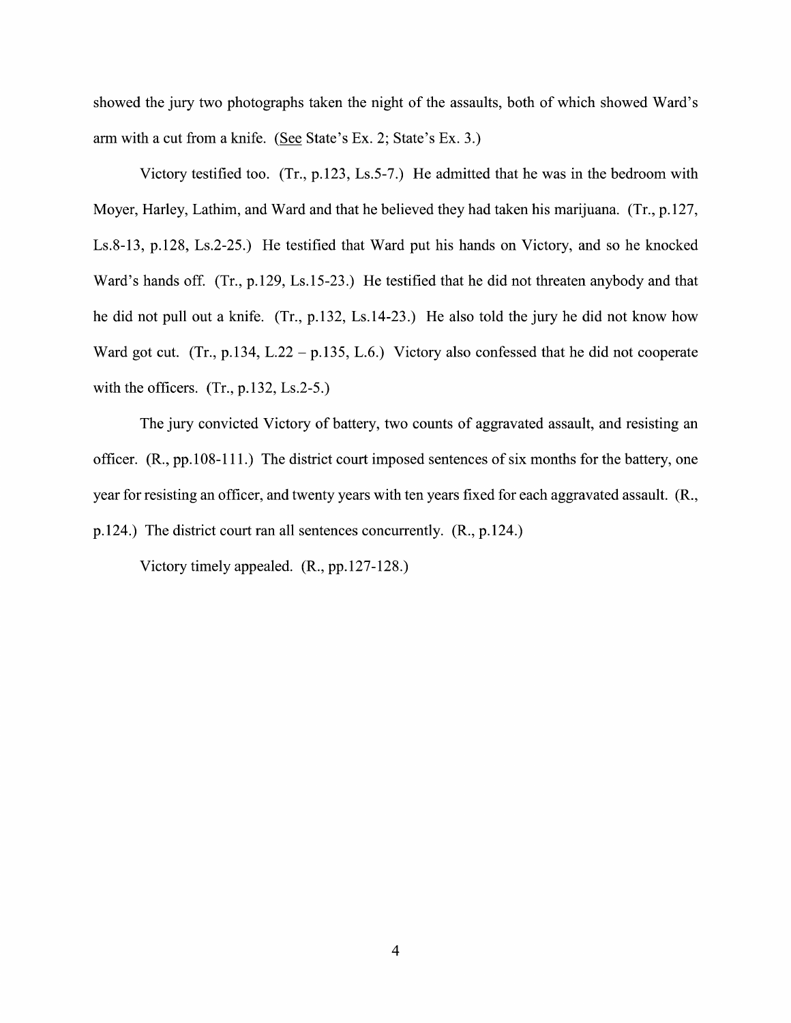showed the jury two photographs taken the night of the assaults, both of which showed Ward's arm with a cut from a knife. (See State's Ex. 2; State's Ex. 3.)

Victory testified too.  $(Tr, p.123, Ls.5-7)$  He admitted that he was in the bedroom with Moyer, Harley, Lathim, and Ward and that he believed they had taken his marijuana. (Tr., p.127, Ls.8-13, p.128, Ls.2-25.) He testified that Ward put his hands on Victory, and so he knocked Ward's hands off. (Tr., p.129, Ls.15-23.) He testified that he did not threaten anybody and that he did not pull out a knife.  $(Tr, p.132, Ls.14-23)$  He also told the jury he did not know how Ward got cut. (Tr., p.134, L.22 – p.135, L.6.) Victory also confessed that he did not cooperate with the officers.  $(Tr., p.132, Ls.2-5.)$ 

The jury convicted Victory of battery, two counts of aggravated assault, and resisting an officer. (R., pp.108-111.) The district court imposed sentences of six months for the battery, one year for resisting an officer, and twenty years with ten years fixed for each aggravated assault. (R., p.124.) The district court ran all sentences concurrently. (R., p.124.)

Victory timely appealed. (R., pp.127-128.)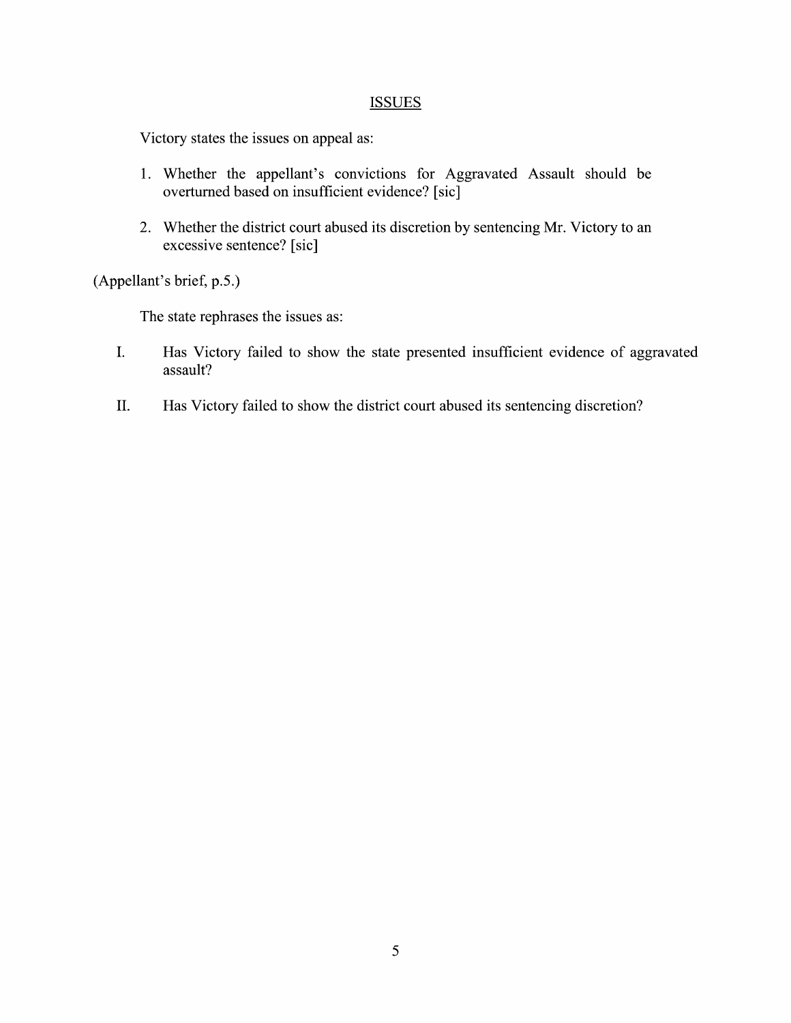## **ISSUES**

Victory states the issues on appeal as:

- 1. Whether the appellant's convictions for Aggravated Assault should be overturned based on insufficient evidence? [sic]
- 2. Whether the district court abused its discretion by sentencing Mr. Victory to an excessive sentence? [sic]

(Appellant's brief, p.5.)

The state rephrases the issues as:

- I. Has Victory failed to show the state presented insufficient evidence 0f aggravated assault?
- II. Has Victory failed to show the district court abused its sentencing discretion?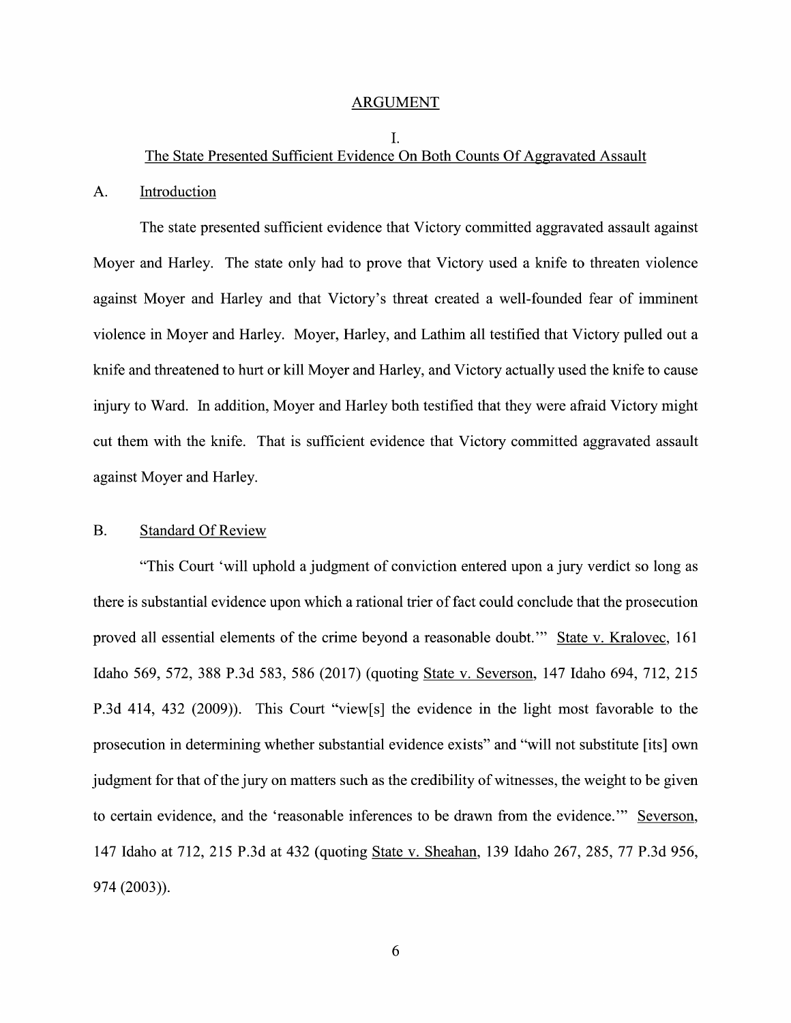#### ARGUMENT

## I. The State Presented Sufficient Evidence On Both Counts Of Aggravated Assault

#### A. Introduction

The state presented sufficient evidence that Victory committed aggravated assault against Moyer and Harley. The state only had to prove that Victory used a knife to threaten violence against Moyer and Harley and that Victory's threat created a well-founded fear of imminent violence in Moyer and Harley. Moyer, Harley, and Lathim all testified that Victory pulled out a knife and threatened to hurt or kill Moyer and Harley, and Victory actually used the knife to cause injury to Ward. In addition, Moyer and Harley both testified that they were afraid Victory might cut them with the knife. That is sufficient evidence that Victory committed aggravated assault against Moyer and Harley.

## B. Standard Of Review

"This Court 'will uphold a judgment of conviction entered upon a jury verdict so long as there is substantial evidence upon which a rational trier of fact could conclude that the prosecution proved all essential elements of the crime beyond a reasonable doubt." State v. Kralovec, 161 Idaho 569, 572, <sup>388</sup> P.3d 583, <sup>586</sup> (2017) (quoting State V. Severson, <sup>147</sup> Idaho 694, 712, <sup>215</sup> P.3d 414, 432 (2009)). This Court "View[s] the evidence in the light most favorable to the prosecution in determining whether substantial evidence exists" and "will not substitute [its] own judgment for that of the jury on matters such as the credibility 0f Witnesses, the weight t0 be given to certain evidence, and the 'reasonable inferences to be drawn from the evidence.'" Severson, 147 Idaho at 712, 215 P.3d at 432 (quoting State V. Sheahan, 139 Idaho 267, 285, 77 P.3d 956, 974 (2003)).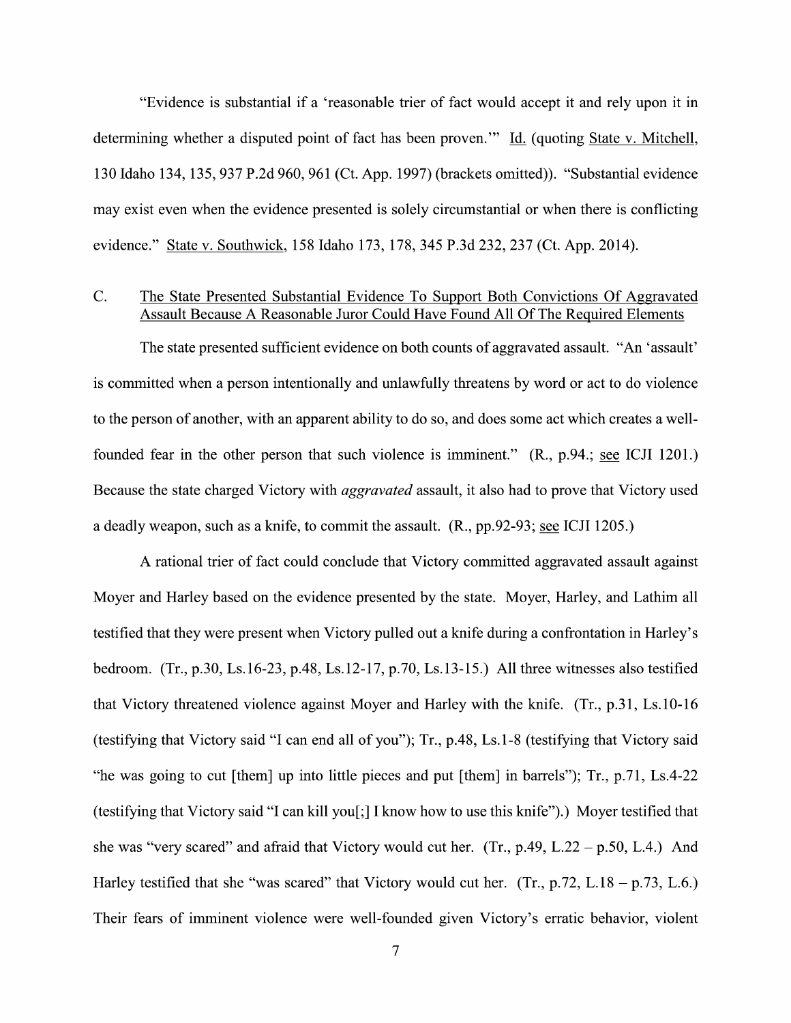"Evidence is substantial if a 'reasonable trier of fact would accept it and rely upon it in determining whether a disputed point of fact has been proven." Id. (quoting State v. Mitchell, 130 Idaho 134, 135, 937 P.2d 960, 961 (Ct. App. 1997) (brackets omitted)). "Substantial evidence may exist even when the evidence presented is solely circumstantial or when there is conflicting evidence." State V. Southwick, 158 Idaho 173, 178, 345 P.3d 232, 237 (Ct. App. 2014).

# C. The State Presented Substantial Evidence T0 Support Both Convictions Of Aggravated Assault Because A Reasonable Juror Could Have Found All Of The Required Elements

The state presented sufficient evidence on both counts of aggravated assault. "An 'assault' is committed when a person intentionally and unlawfully threatens by word or act to do violence to the person of another, with an apparent ability to do so, and does some act which creates a wellfounded fear in the other person that such violence is imminent."  $(R, p.94$ ; see ICJI 1201.) Because the state charged Victory with *aggravated* assault, it also had to prove that Victory used a deadly weapon, such as a knife, to commit the assault. (R., pp.92-93; see ICJI 1205.)

A rational trier of fact could conclude that Victory committed aggravated assault against Moyer and Harley based 0n the evidence presented by the state. Moyer, Harley, and Lathim all testified that they were present when Victory pulled out a knife during a confrontation in Harley's bedroom. (Tr., p.30, Ls.16-23, p.48, Ls.12-17, p.70, Ls.13-15.) All three witnesses also testified that Victory threatened violence against Moyer and Harley with the knife.  $(Tr, p.31, Ls.10-16)$ (testifying that Victory said "I can end all of you"); Tr., p.48, Ls.1-8 (testifying that Victory said "he was going t0 cut [them] up into little pieces and put [them] in barrels"); Tr., p.71, Ls.4-22 (testifying that Victory said ''I can kill you[;] I know how to use this knife'').) Moyer testified that she was "very scared" and afraid that Victory would cut her. (Tr.,  $p.49$ , L.22 –  $p.50$ , L.4.) And Harley testified that she "was scared" that Victory would cut her. (Tr., p.72, L.18 – p.73, L.6.) Their fears of imminent violence were well-founded given Victory's erratic behavior, violent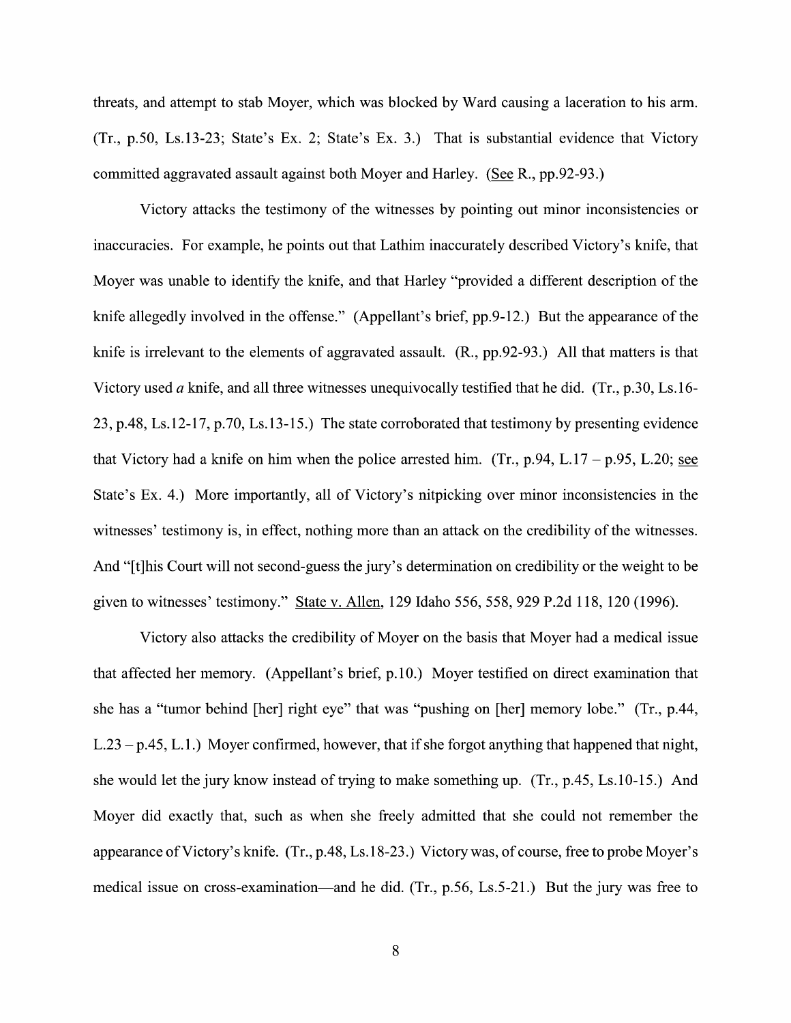threats, and attempt to stab Moyer, which was blocked by Ward causing a laceration to his arm.  $(Tr, p.50, Ls.13-23; State's Ex. 2; State's Ex. 3.)$  That is substantial evidence that Victory committed aggravated assault against both Moyer and Harley. (See R., pp. 92-93.)

Victory attacks the testimony of the witnesses by pointing out minor inconsistencies or inaccuracies. For example, he points out that Lathim inaccurately described Victory's knife, that Moyer was unable to identify the knife, and that Harley "provided a different description of the knife allegedly involved in the offense." (Appellant's brief, pp.9-12.) But the appearance of the knife is irrelevant to the elements of aggravated assault. (R., pp.92-93.) All that matters is that Victory used a knife, and all three witnesses unequivocally testified that he did. (Tr., p.30, Ls.16-23, p.48, Ls.12-17, p.70, Ls.13-15.) The state corroborated that testimony by presenting evidence that Victory had a knife on him when the police arrested him.  $(Tr, p.94, L.17 - p.95, L.20;$  see State's Ex. 4.) More importantly, all of Victory's nitpicking over minor inconsistencies in the witnesses' testimony is, in effect, nothing more than an attack on the credibility of the witnesses. And "[t]his Court will not second-guess the jury's determination on credibility or the weight to be given to witnesses' testimony." State v. Allen, 129 Idaho 556, 558, 929 P.2d 118, 120 (1996).

Victory also attacks the credibility of Moyer 0n the basis that Moyer had medical issue that affected her memory. (Appellant's brief, p.10.) Moyer testified on direct examination that she has a "tumor behind [her] right eye" that was "pushing on [her] memory lobe." (Tr., p.44,  $L.23 - p.45$ ,  $L.1$ .) Moyer confirmed, however, that if she forgot anything that happened that night, she would let the jury know instead of trying to make something up.  $(Tr, p.45, Ls.10-15)$ . And Moyer did exactly that, such as When she freely admitted that she could not remember the appearance of Victory's knife. (Tr., p.48, Ls. 18-23.) Victory was, of course, free to probe Moyer's medical issue on cross-examination—and he did.  $(Tr, p.56, Ls.5-21)$  But the jury was free to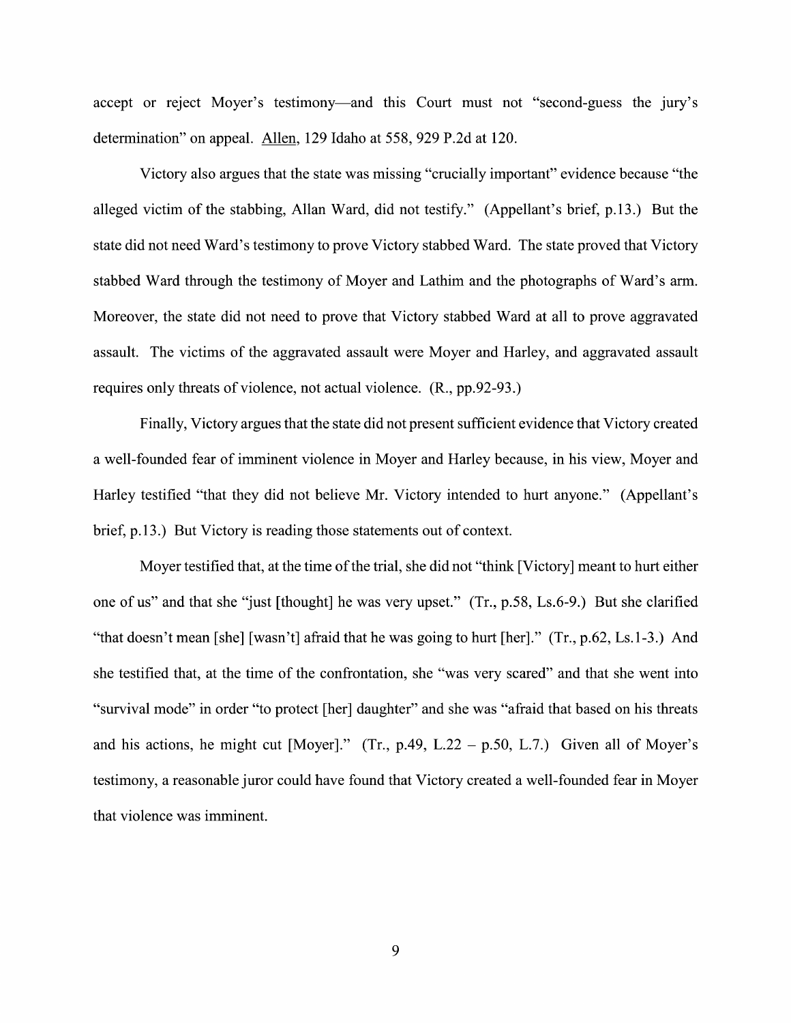accept or reject Moyer's testimony—and this Court must not "second-guess the jury's determination" on appeal. Allen, 129 Idaho at 558, 929 P.2d at 120.

Victory also argues that the state was missing "crucially important" evidence because "the alleged Victim of the stabbing, Allan Ward, did not testify." (Appellant's brief, p.13.) But the state did not need Ward's testimony to prove Victory stabbed Ward. The state proved that Victory stabbed Ward through the testimony of Moyer and Lathim and the photographs of Ward's arm. Moreover, the state did not need to prove that Victory stabbed Ward at all to prove aggravated assault. The victims of the aggravated assault were Moyer and Harley, and aggravated assault requires only threats 0f Violence, not actual Violence. (R., pp.92-93.)

Finally, Victory argues that the state did not present sufficient evidence that Victory created a well-founded fear of imminent violence in Moyer and Harley because, in his view, Moyer and Harley testified "that they did not believe Mr. Victory intended to hurt anyone." (Appellant's brief, p.13.) But Victory is reading those statements out of context.

Moyer testified that, at the time of the trial, she did not "think [Victory] meant to hurt either one of us" and that she "just [thought] he was very upset." (Tr., p.58, Ls.6-9.) But she clarified "that doesn't mean [she] [wasn't] afraid that he was going to hurt [her]." (Tr., p.62, Ls.1-3.) And she testified that, at the time of the confrontation, she "was very scared" and that she went into "survival mode" in order "to protect [her] daughter" and she was "afraid that based on his threats and his actions, he might cut [Moyer]." (Tr., p.49, L.22 – p.50, L.7.) Given all of Moyer's testimony, a reasonable juror could have found that Victory created a well-founded fear in Moyer that Violence was imminent.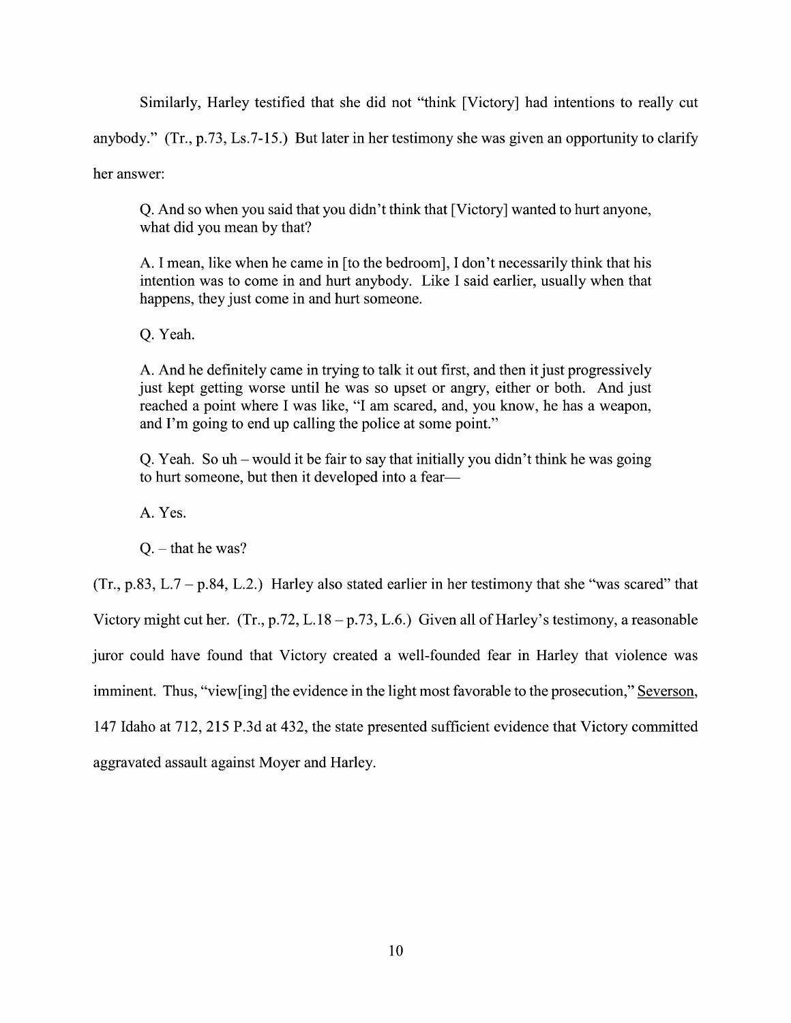Similarly, Harley testified that she did not "think [Victory] had intentions to really cut

anybody." (Tr., p.73, Ls.7-15.) But later in her testimony she was given an opportunity to clarify

her answer:

Q. And so when you said that you didn't think that [Victory] wanted to hurt anyone, what did you mean by that?

A. I mean, like when he came in [to the bedroom], I don't necessarily think that his intention was to come in and hurt anybody. Like I said earlier, usually when that happens, they just come in and hurt someone.

Q. Yeah.

A. And he definitely came in trying to talk it out first, and then it just progressively just kept getting worse until he was so upset or angry, either or both. And just reached a point where I was like, "I am scared, and, you know, he has a weapon, and I'm going to end up calling the police at some point."

Q. Yeah. So uh – would it be fair to say that initially you didn't think he was going to hurt someone, but then it developed into a fear—

A. Yes.

 $Q. -$  that he was?

 $(Tr, p.83, L.7 - p.84, L.2.)$  Harley also stated earlier in her testimony that she "was scared" that

Victory might cut her. (Tr., p.72, L.18 – p.73, L.6.) Given all of Harley's testimony, a reasonable

juror could have found that Victory created a well-founded fear in Harley that violence was

imminent. Thus, "view[ing] the evidence in the light most favorable to the prosecution," Severson,

147 Idaho at 712, 215 P.3d at 432, the state presented sufficient evidence that Victory committed

aggravated assault against Moyer and Harley.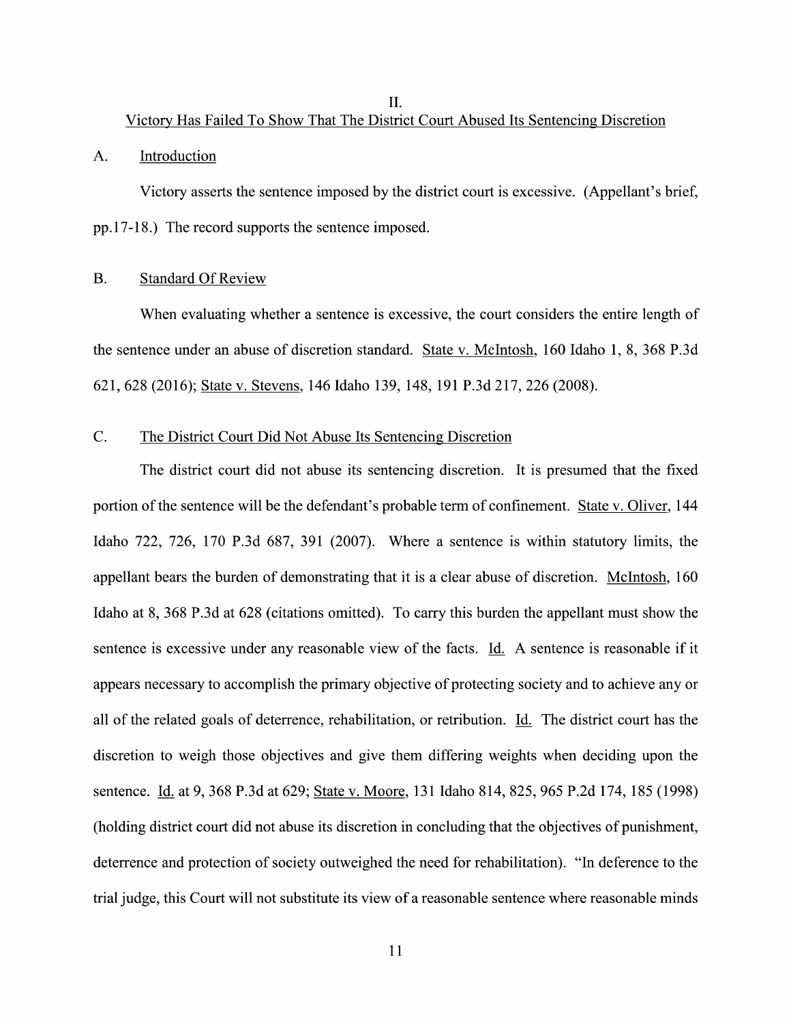II.

Victory Has Failed T0 Show That The District Court Abused Its Sentencing Discretion

## A. Introduction

Victory asserts the sentence imposed by the district court is excessive. (Appellant's brief, pp.17-18.) The record supports the sentence imposed.

# B. Standard Of Review

When evaluating whether a sentence is excessive, the court considers the entire length of the sentence under an abuse of discretion standard. State V. McIntosh, 160 Idaho 1, 8, 368 P.3d 621, 628 (2016); State V. Stevens, 146 Idaho 139, 148, 191 P.3d 217, 226 (2008).

# C. The District Court Did Not Abuse Its Sentencing Discretion

The district court did not abuse its sentencing discretion. It is presumed that the fixed portion of the sentence will be the defendant's probable term of confinement. State v. Oliver, 144 Idaho 722, 726, 170 P.3d 687, 391 (2007). Where a sentence is within statutory limits, the appellant bears the burden of demonstrating that it is clear abuse 0f discretion. McIntosh, 160 Idaho at 8, 368 P.3d at 628 (citations omitted). To carry this burden the appellant must show the sentence is excessive under any reasonable view of the facts. Id. A sentence is reasonable if it appears necessary to accomplish the primary objective of protecting society and to achieve any or all of the related goals of deterrence, rehabilitation, or retribution. Id. The district court has the discretion to weigh those objectives and give them differing weights when deciding upon the sentence. Id. at 9, 368 P.3d at 629; State v. Moore, 131 Idaho 814, 825, 965 P.2d 174, 185 (1998) (holding district court did not abuse its discretion in concluding that the objectives of punishment, deterrence and protection of society outweighed the need for rehabilitation). "In deference to the trial judge, this Court will not substitute its view of a reasonable sentence where reasonable minds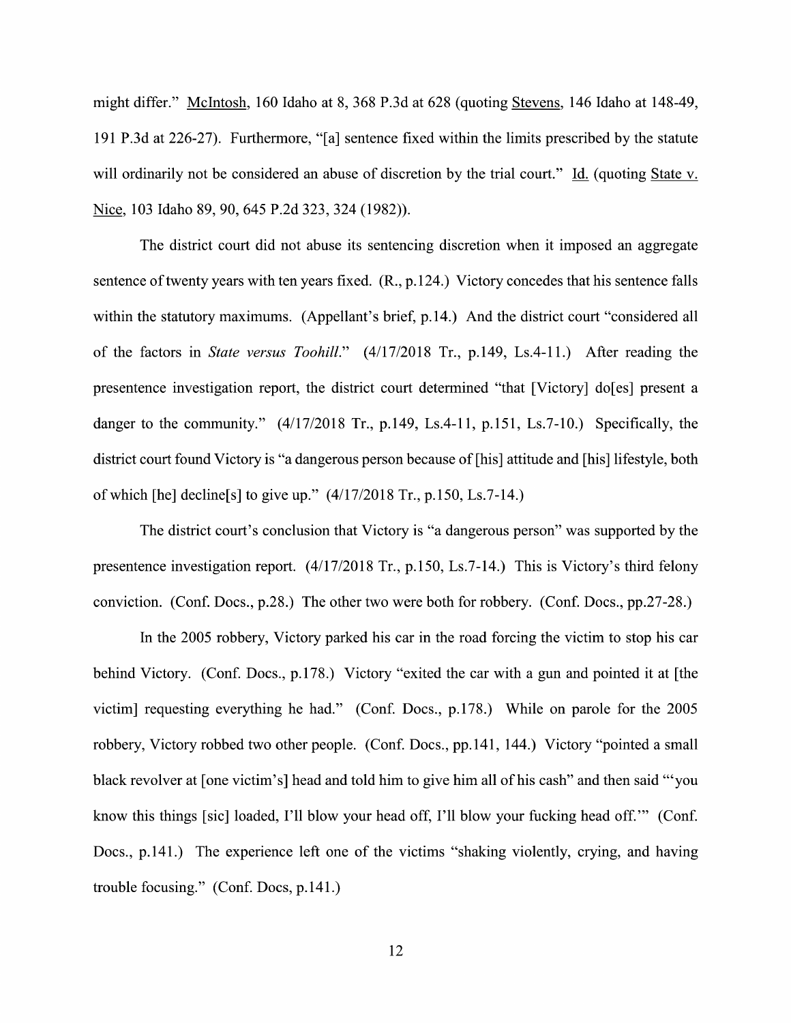might differ." McIntosh, 160 Idaho at 8, 368 P.3d at 628 (quoting Stevens, 146 Idaho at 148-49, 191 P.3d at 226-27). Furthermore, "[a] sentence fixed Within the limits prescribed by the statute will ordinarily not be considered an abuse of discretion by the trial court." Id. (quoting State v. Nice, 103 Idaho 89, 90, 645 P.2d 323, 324 (1982)).

The district court did not abuse its sentencing discretion When it imposed an aggregate sentence of twenty years with ten years fixed.  $(R., p.124.)$  Victory concedes that his sentence falls within the statutory maximums. (Appellant's brief, p.14.) And the district court "considered all of the factors in State versus Toohill." (4/17/2018 Tr., p.149, Ls.4-11.) After reading the presentence investigation report, the district court determined "that [Victory] do[es] present danger to the community." (4/17/2018 Tr., p.149, Ls.4-11, p.151, Ls.7-10.) Specifically, the district court found Victory is "a dangerous person because of [his] attitude and [his] lifestyle, both of which [he] decline[s] to give up."  $(4/17/2018 \text{ Tr.}, p.150, Ls.7-14.)$ 

The district court's conclusion that Victory is "a dangerous person" was supported by the presentence investigation report. (4/17/2018 Tr., p.150, Ls.7-14.) This is Victory's third felony conviction. (Conf. Docs., p.28.) The other two were both for robbery. (Conf. Docs., pp.27-28.)

In the 2005 robbery, Victory parked his car in the road forcing the victim to stop his car behind Victory. (Conf. Docs., p.178.) Victory "exited the car with a gun and pointed it at [the victim] requesting everything he had." (Conf. Docs., p.178.) While on parole for the 2005 robbery, Victory robbed two other people. (Conf. Docs., pp.141, 144.) Victory "pointed a small black revolver at [one victim's] head and told him to give him all of his cash" and then said "you know this things [sic] loaded, I'll blow your head off, I'll blow your fucking head off." (Conf. Docs., p.141.) The experience left one of the victims "shaking violently, crying, and having trouble focusing." (Conf. Docs, p.141.)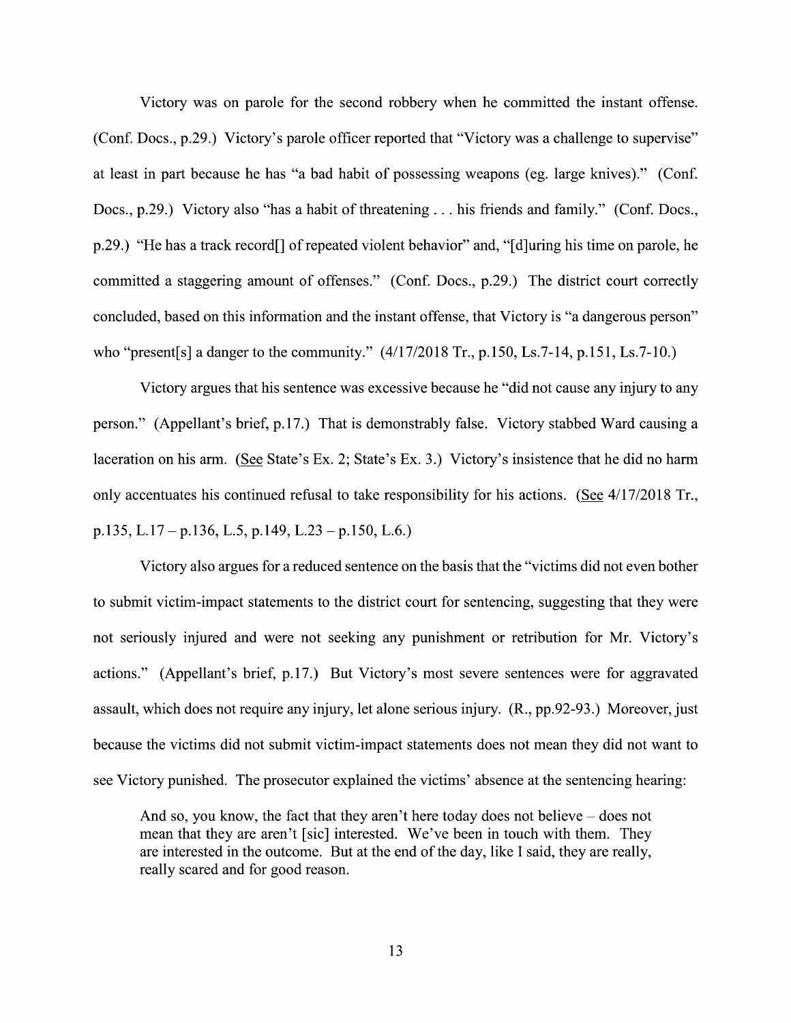Victory was 0n parole for the second robbery when he committed the instant offense. (Conf. Docs., p.29.) Victory's parole officer reported that "Victory was a challenge to supervise" at least in part because he has "a bad habit 0f possessing weapons (eg. large knives)." (Conf. Docs., p.29.) Victory also "has a habit of threatening . . . his friends and family." (Conf. Docs., p.29.) "He has a track record[] of repeated violent behavior" and, "[d]uring his time on parole, he committed a staggering amount of offenses." (Conf. Docs., p.29.) The district court correctly concluded, based 0n this information and the instant offense, that Victory is "a dangerous person" who "present[s] a danger to the community."  $(4/17/2018 \text{ Tr.}, p.150, Ls.7-14, p.151, Ls.7-10.)$ 

Victory argues that his sentence was excessive because he "did not cause any injury to any person." (Appellant's brief, p.17.) That is demonstrably false. Victory stabbed Ward causing laceration on his arm. (See State's Ex. 2; State's Ex. 3.) Victory's insistence that he did no harm only accentuates his continued refusal to take responsibility for his actions. (See  $4/17/2018$  Tr., p.135, L.17 – p.136, L.5, p.149, L.23 – p.150, L.6.)

Victory also argues for a reduced sentence on the basis that the "victims did not even bother to submit victim-impact statements to the district court for sentencing, suggesting that they were not seriously injured and were not seeking any punishment or retribution for Mr. Victory's actions." (Appellant's brief, p.17.) But Victory's most severe sentences were for aggravated assault, Which does not require any injury, let alone serious injury. (R., pp.92-93.) Moreover, just because the victims did not submit victim-impact statements does not mean they did not want to see Victory punished. The prosecutor explained the victims' absence at the sentencing hearing:

And so, you know, the fact that they aren't here today does not believe  $-$  does not mean that they are aren't [sic] interested. We've been in touch with them. They are interested in the outcome. But at the end of the day, like I said, they are really, really scared and for good reason.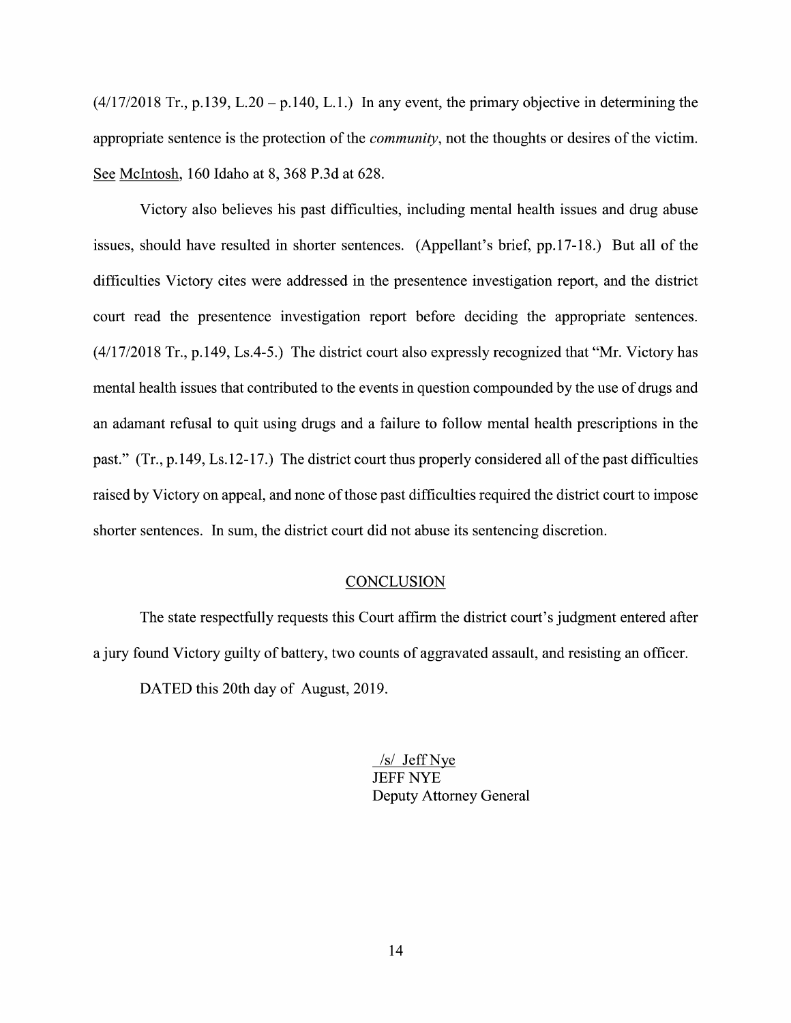$(4/17/2018$  Tr., p.139, L.20 – p.140, L.1.) In any event, the primary objective in determining the appropriate sentence is the protection of the *community*, not the thoughts or desires of the victim. See McIntosh, 160 Idaho at 8, 368 P.3d at 628.

Victory also believes his past difficulties, including mental health issues and drug abuse issues, should have resulted in shorter sentences. (Appellant's brief, pp.17-18.) But all 0f the difficulties Victory cites were addressed in the presentence investigation report, and the district court read the presentence investigation report before deciding the appropriate sentences. (4/17/2018 Tr., p.149, Ls.4-5.) The district court also expressly recognized that "Mr. Victory has mental health issues that contributed to the events in question compounded by the use of drugs and an adamant refusal to quit using drugs and a failure to follow mental health prescriptions in the past." (Tr., p. 149, Ls. 12-17.) The district court thus properly considered all of the past difficulties raised by Victory 0n appeal, and none of those past difficulties required the district court to impose shorter sentences. In sum, the district court did not abuse its sentencing discretion.

## **CONCLUSION**

The state respectfillly requests this Court affirm the district court's judgment entered after a jury found Victory guilty of battery, two counts of aggravated assault, and resisting an officer.

DATED this 20th day of August, 2019.

/s/ Jeff Nye JEFF NYE Deputy Attorney General